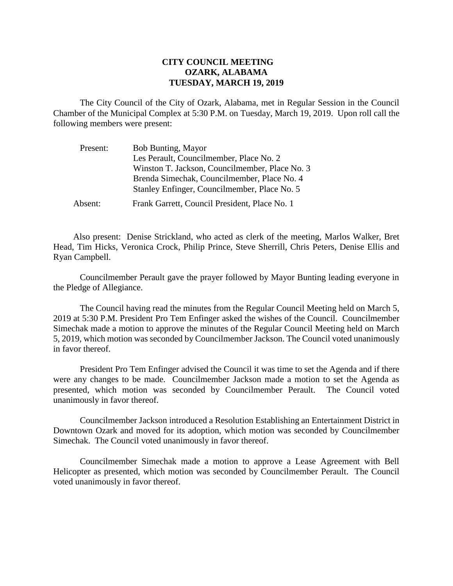## **CITY COUNCIL MEETING OZARK, ALABAMA TUESDAY, MARCH 19, 2019**

The City Council of the City of Ozark, Alabama, met in Regular Session in the Council Chamber of the Municipal Complex at 5:30 P.M. on Tuesday, March 19, 2019. Upon roll call the following members were present:

| Present: | <b>Bob Bunting, Mayor</b>                      |
|----------|------------------------------------------------|
|          | Les Perault, Councilmember, Place No. 2        |
|          | Winston T. Jackson, Councilmember, Place No. 3 |
|          | Brenda Simechak, Councilmember, Place No. 4    |
|          | Stanley Enfinger, Councilmember, Place No. 5   |
| Absent:  | Frank Garrett, Council President, Place No. 1  |

Also present: Denise Strickland, who acted as clerk of the meeting, Marlos Walker, Bret Head, Tim Hicks, Veronica Crock, Philip Prince, Steve Sherrill, Chris Peters, Denise Ellis and Ryan Campbell.

Councilmember Perault gave the prayer followed by Mayor Bunting leading everyone in the Pledge of Allegiance.

The Council having read the minutes from the Regular Council Meeting held on March 5, 2019 at 5:30 P.M. President Pro Tem Enfinger asked the wishes of the Council. Councilmember Simechak made a motion to approve the minutes of the Regular Council Meeting held on March 5, 2019, which motion was seconded by Councilmember Jackson. The Council voted unanimously in favor thereof.

President Pro Tem Enfinger advised the Council it was time to set the Agenda and if there were any changes to be made. Councilmember Jackson made a motion to set the Agenda as presented, which motion was seconded by Councilmember Perault. The Council voted unanimously in favor thereof.

Councilmember Jackson introduced a Resolution Establishing an Entertainment District in Downtown Ozark and moved for its adoption, which motion was seconded by Councilmember Simechak. The Council voted unanimously in favor thereof.

Councilmember Simechak made a motion to approve a Lease Agreement with Bell Helicopter as presented, which motion was seconded by Councilmember Perault. The Council voted unanimously in favor thereof.